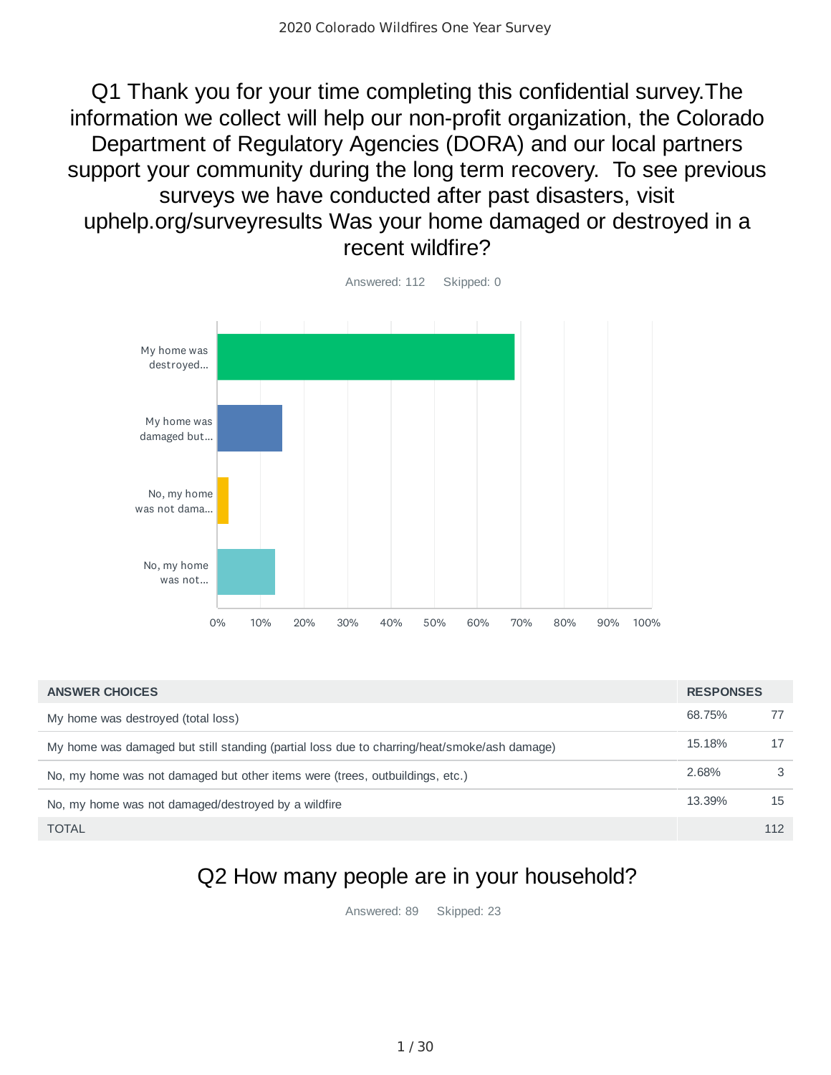Q1 Thank you for your time completing this confidential survey.The information we collect will help our non-profit organization, the Colorado Department of Regulatory Agencies (DORA) and our local partners support your community during the long term recovery. To see previous surveys we have conducted after past disasters, visit uphelp.org/surveyresults Was your home damaged or destroyed in a recent wildfire?



68.75% 77 15.18% 17 2.68% 3 13.39% 15 TOTAL 112 **ANSWER CHOICES RESPONSES** My home was destroyed (total loss) My home was damaged but still standing (partial loss due to charring/heat/smoke/ash damage) No, my home was not damaged but other items were (trees, outbuildings, etc.) No, my home was not damaged/destroyed by a wildfire

## Q2 How many people are in your household?

Answered: 89 Skipped: 23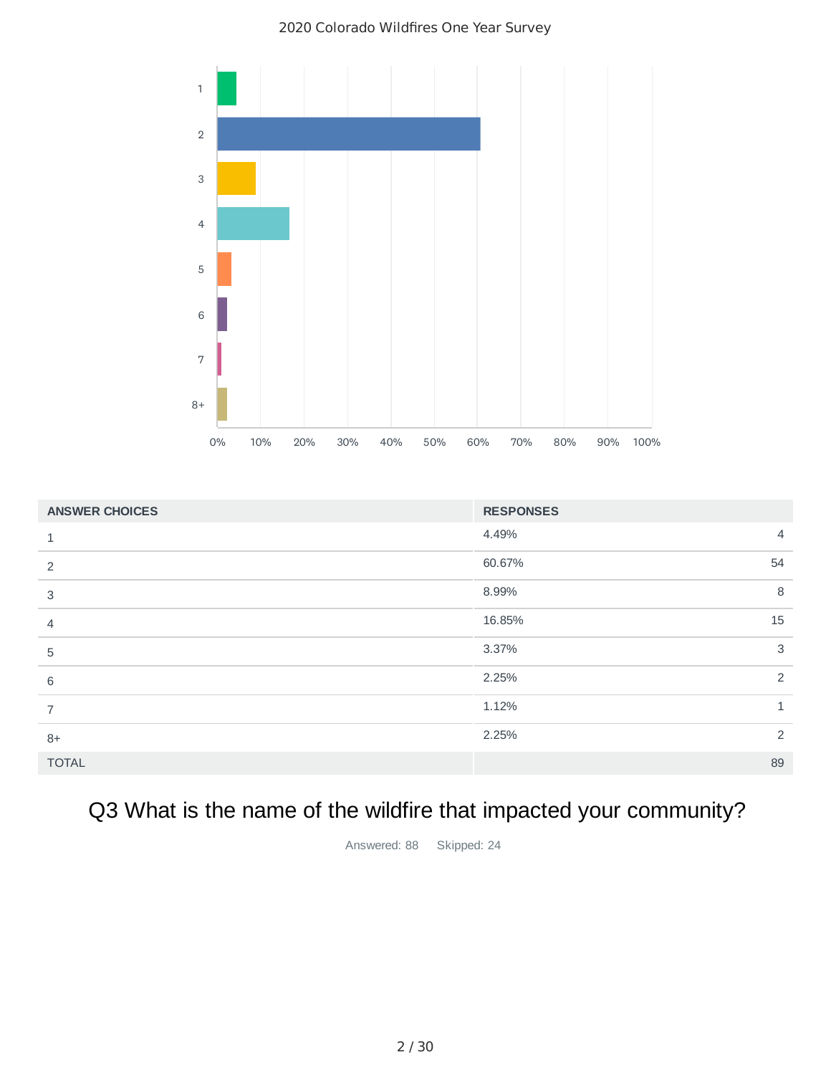

| <b>ANSWER CHOICES</b> | <b>RESPONSES</b>        |
|-----------------------|-------------------------|
| 1                     | 4.49%<br>$\overline{4}$ |
| 2                     | 60.67%<br>54            |
| 3                     | 8<br>8.99%              |
| $\overline{4}$        | 15<br>16.85%            |
| 5                     | $\mathbf{3}$<br>3.37%   |
| 6                     | $\overline{2}$<br>2.25% |
| $\overline{7}$        | 1.12%<br>$\mathbf{1}$   |
| $8+$                  | 2<br>2.25%              |
| <b>TOTAL</b>          | 89                      |

# Q3 What is the name of the wildfire that impacted your community?

Answered: 88 Skipped: 24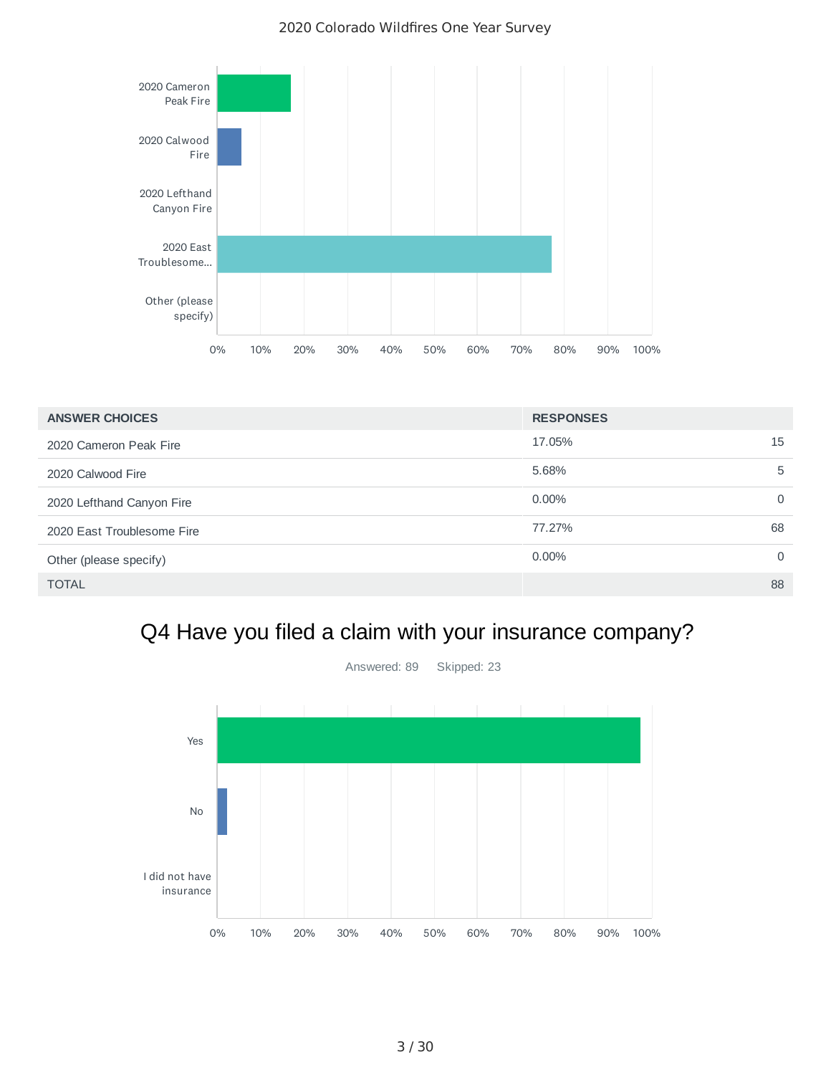

| <b>ANSWER CHOICES</b>      | <b>RESPONSES</b> |          |
|----------------------------|------------------|----------|
| 2020 Cameron Peak Fire     | 17.05%           | 15       |
| 2020 Calwood Fire          | 5.68%            | 5        |
| 2020 Lefthand Canyon Fire  | $0.00\%$         | $\Omega$ |
| 2020 East Troublesome Fire | 77.27%           | 68       |
| Other (please specify)     | $0.00\%$         | $\Omega$ |
| <b>TOTAL</b>               |                  | 88       |

# Q4 Have you filed a claim with your insurance company?

Answered: 89 Skipped: 23

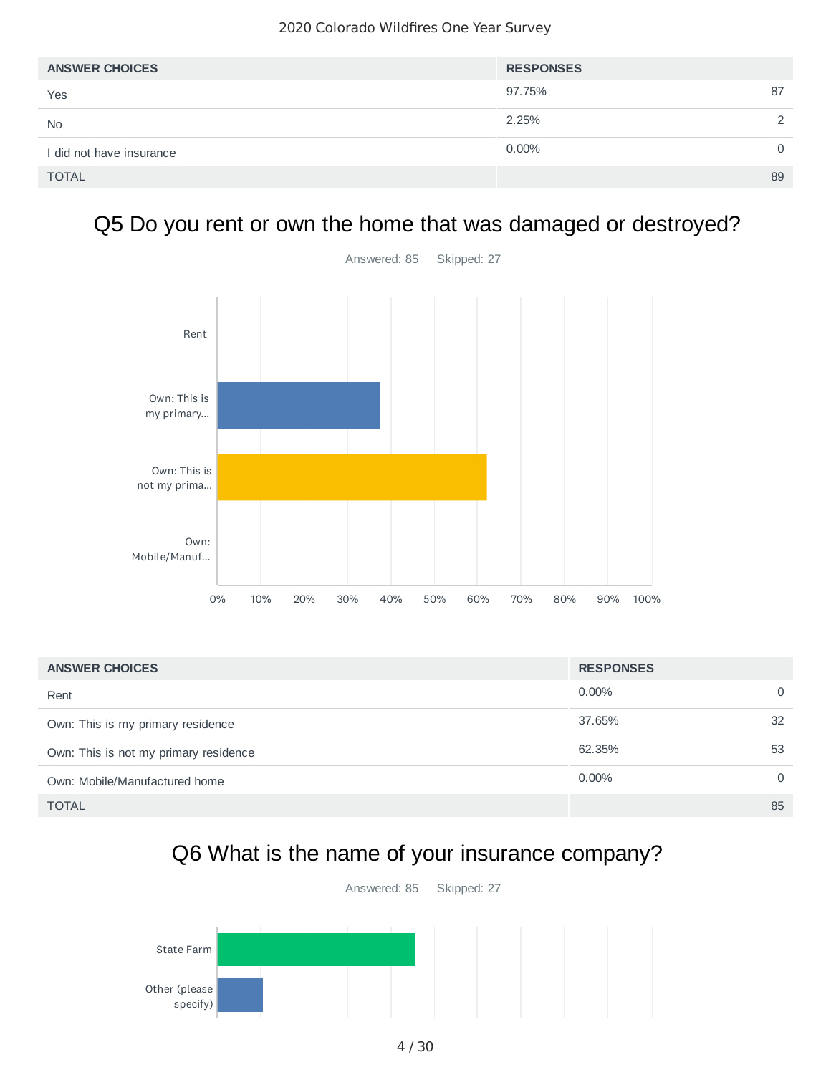| <b>ANSWER CHOICES</b>    | <b>RESPONSES</b> |               |
|--------------------------|------------------|---------------|
| Yes                      | 97.75%           | 87            |
| <b>No</b>                | 2.25%            | $\mathcal{P}$ |
| I did not have insurance | 0.00%            | $\Omega$      |
| <b>TOTAL</b>             |                  | 89            |

## Q5 Do you rent or own the home that was damaged or destroyed?



| <b>ANSWER CHOICES</b>                 | <b>RESPONSES</b> |          |
|---------------------------------------|------------------|----------|
| Rent                                  | $0.00\%$         | $\Omega$ |
| Own: This is my primary residence     | 37.65%           | 32       |
| Own: This is not my primary residence | 62.35%           | 53       |
| Own: Mobile/Manufactured home         | $0.00\%$         | $\Omega$ |
| <b>TOTAL</b>                          |                  | 85       |

## Q6 What is the name of your insurance company?

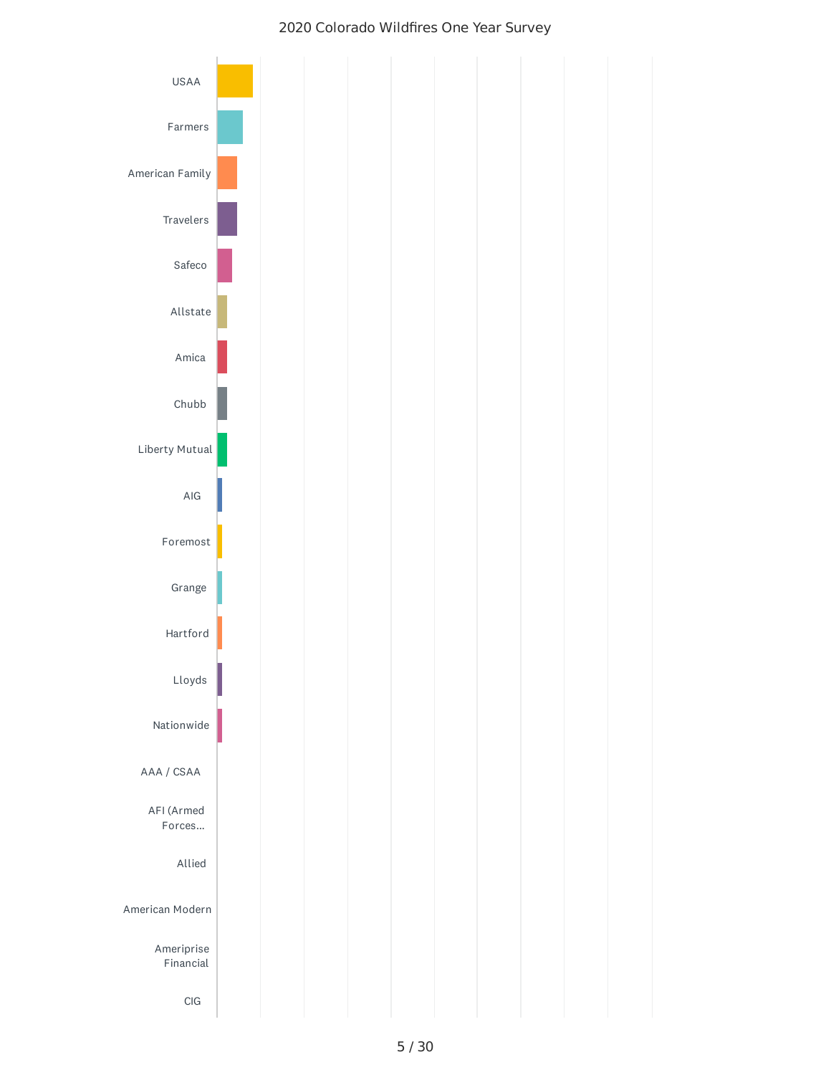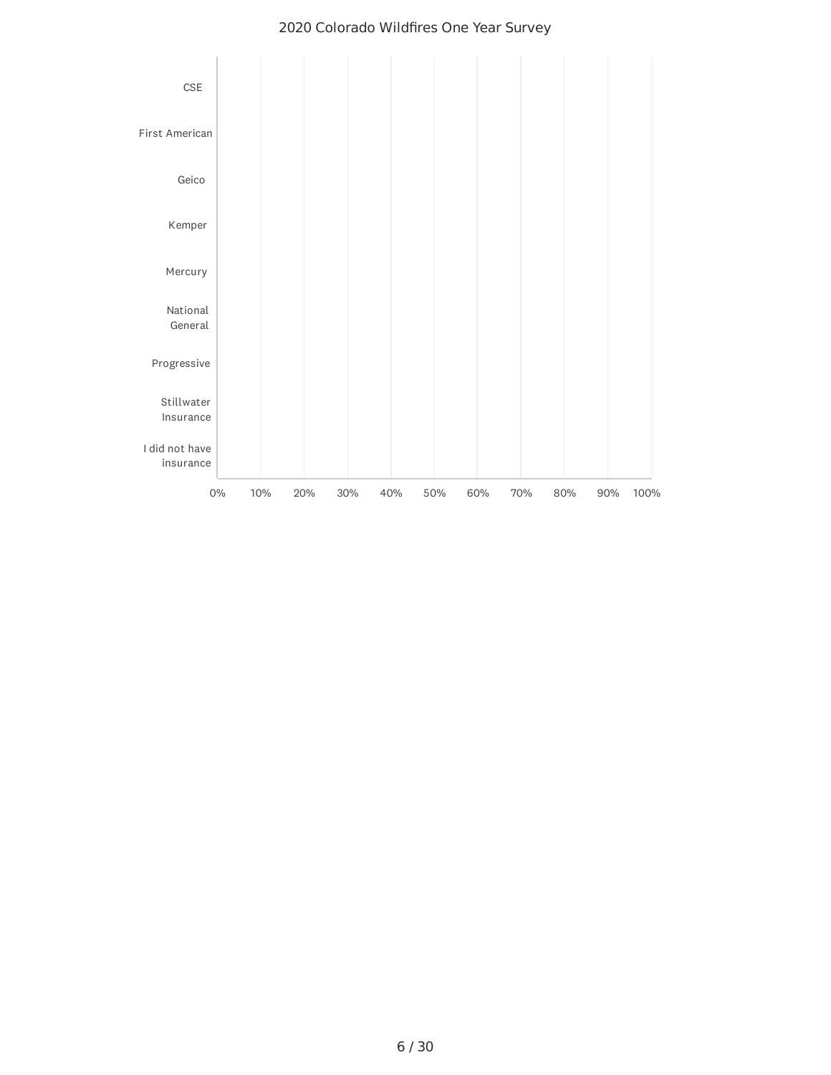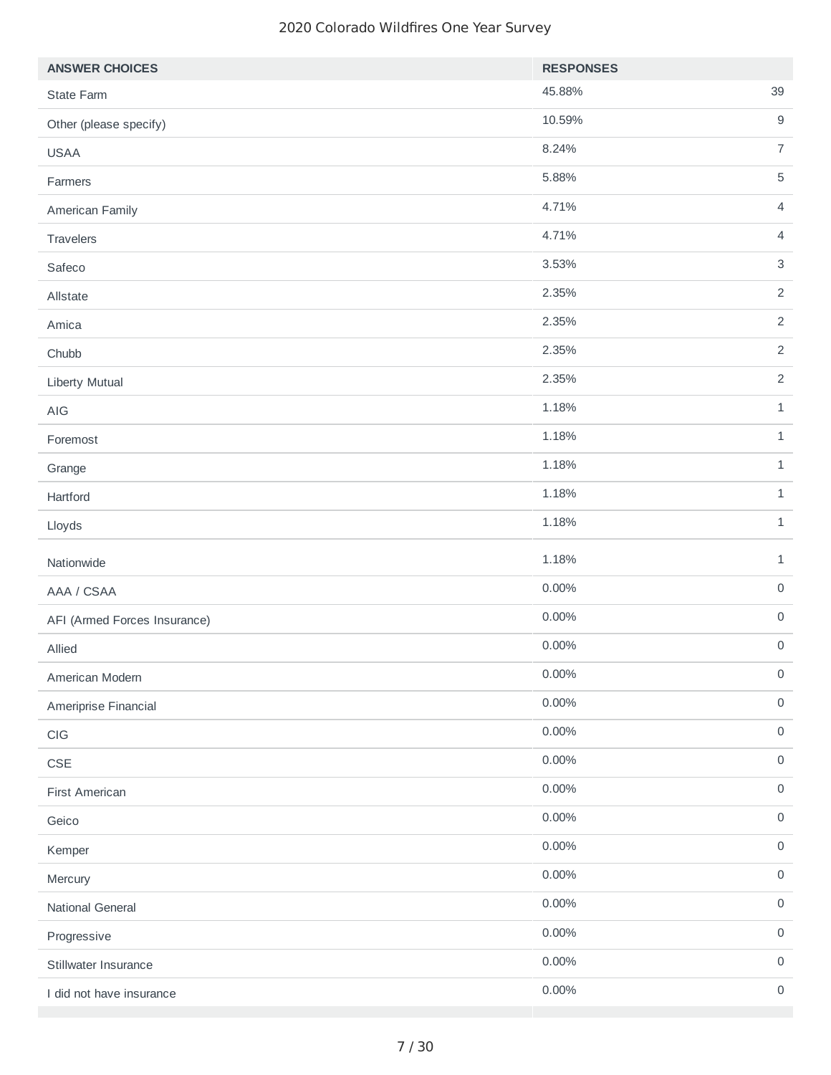| <b>ANSWER CHOICES</b>                     | <b>RESPONSES</b> |                     |
|-------------------------------------------|------------------|---------------------|
| State Farm                                | 45.88%           | 39                  |
| Other (please specify)                    | 10.59%           | $\mathsf g$         |
| <b>USAA</b>                               | 8.24%            | $\overline{7}$      |
| Farmers                                   | 5.88%            | $\sqrt{5}$          |
| American Family                           | 4.71%            | $\overline{4}$      |
| Travelers                                 | 4.71%            | $\overline{4}$      |
| Safeco                                    | 3.53%            | $\mathsf 3$         |
| Allstate                                  | 2.35%            | $\overline{2}$      |
| Amica                                     | 2.35%            | $\overline{2}$      |
| Chubb                                     | 2.35%            | $\overline{2}$      |
| Liberty Mutual                            | 2.35%            | $\overline{2}$      |
| AIG                                       | 1.18%            | $1\,$               |
| Foremost                                  | 1.18%            | $1\,$               |
| Grange                                    | 1.18%            | $1\,$               |
| Hartford                                  | 1.18%            | $\mathbf{1}$        |
| Lloyds                                    | 1.18%            | $1\,$               |
| Nationwide                                | 1.18%            | $1\,$               |
| AAA / CSAA                                | 0.00%            | $\mathsf{O}\xspace$ |
| AFI (Armed Forces Insurance)              | 0.00%            | $\mathsf{O}\xspace$ |
| Allied                                    | 0.00%            | $\mathsf{O}\xspace$ |
| American Modern                           | 0.00%            | $\mathsf{O}\xspace$ |
| Ameriprise Financial                      | 0.00%            | $\mathsf{O}\xspace$ |
| $\mathop{\hbox{\rm Cl}}\nolimits{\cal G}$ | 0.00%            | $\mathsf{O}\xspace$ |
| $\mathsf{CSE}$                            | 0.00%            | $\mathsf{O}\xspace$ |
| First American                            | $0.00\%$         | $\mathsf{O}\xspace$ |
| Geico                                     | $0.00\%$         | $\mathsf{O}\xspace$ |
| Kemper                                    | 0.00%            | $\mathsf{O}\xspace$ |
| Mercury                                   | 0.00%            | $\mathsf{O}\xspace$ |
| National General                          | 0.00%            | $\mathsf{O}\xspace$ |
| Progressive                               | 0.00%            | $\mathsf{O}\xspace$ |
| Stillwater Insurance                      | 0.00%            | $\mathsf{O}\xspace$ |
| I did not have insurance                  | 0.00%            | $\mathsf{O}\xspace$ |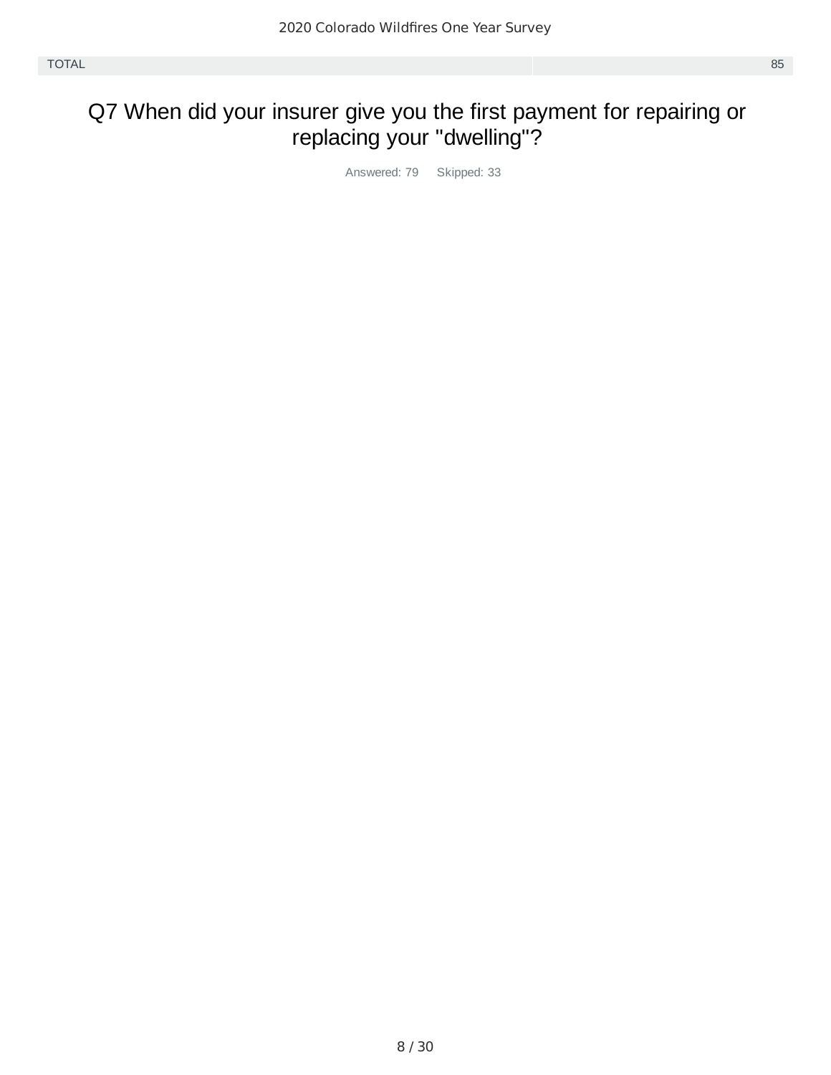#### Q7 When did your insurer give you the first payment for repairing or replacing your "dwelling"?

Answered: 79 Skipped: 33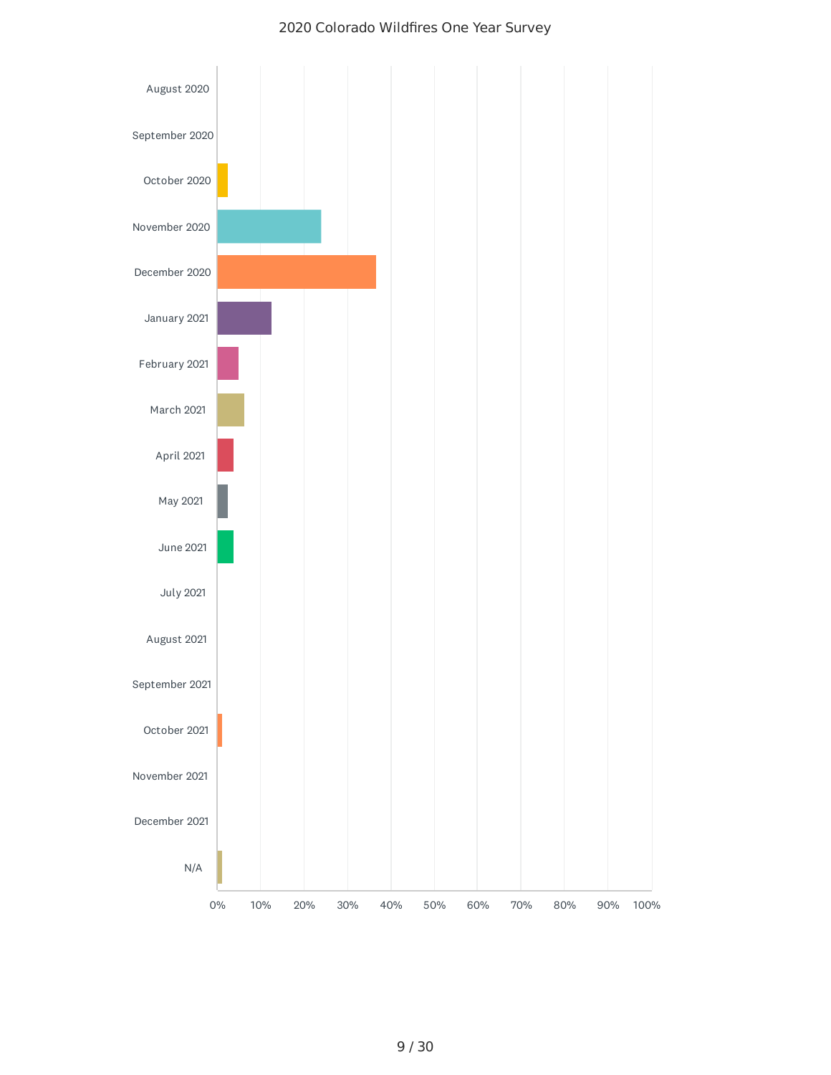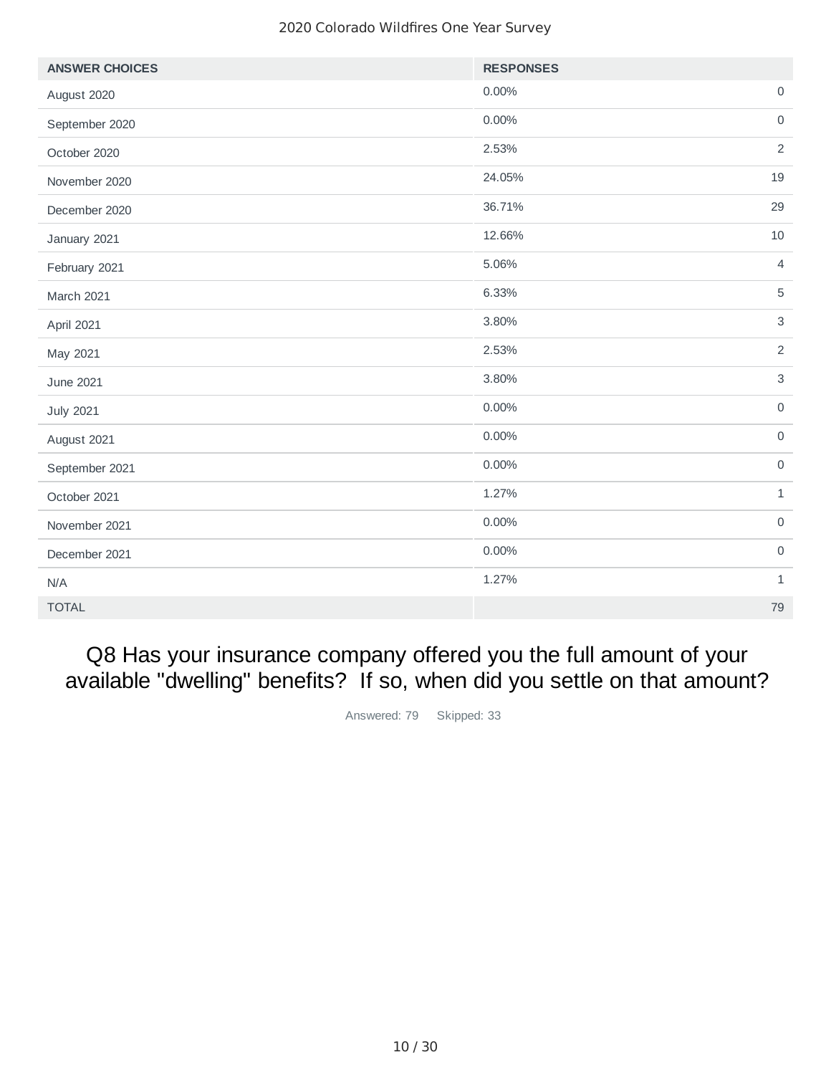| <b>ANSWER CHOICES</b> | <b>RESPONSES</b> |                     |
|-----------------------|------------------|---------------------|
| August 2020           | 0.00%            | $\mathsf{O}\xspace$ |
| September 2020        | 0.00%            | $\mathsf{O}\xspace$ |
| October 2020          | 2.53%            | $\overline{2}$      |
| November 2020         | 24.05%           | 19                  |
| December 2020         | 36.71%           | 29                  |
| January 2021          | 12.66%           | 10                  |
| February 2021         | 5.06%            | $\overline{4}$      |
| March 2021            | 6.33%            | $\overline{5}$      |
| April 2021            | 3.80%            | 3                   |
| May 2021              | 2.53%            | $\overline{2}$      |
| June 2021             | 3.80%            | $\mathbf{3}$        |
| <b>July 2021</b>      | $0.00\%$         | $\mathsf{O}$        |
| August 2021           | $0.00\%$         | $\mathsf{O}\xspace$ |
| September 2021        | $0.00\%$         | $\mathsf O$         |
| October 2021          | 1.27%            | $\mathbf{1}$        |
| November 2021         | 0.00%            | $\mathsf O$         |
| December 2021         | 0.00%            | $\mathsf{O}\xspace$ |
| N/A                   | 1.27%            | $\mathbf{1}$        |
| <b>TOTAL</b>          |                  | 79                  |

Q8 Has your insurance company offered you the full amount of your available "dwelling" benefits? If so, when did you settle on that amount?

Answered: 79 Skipped: 33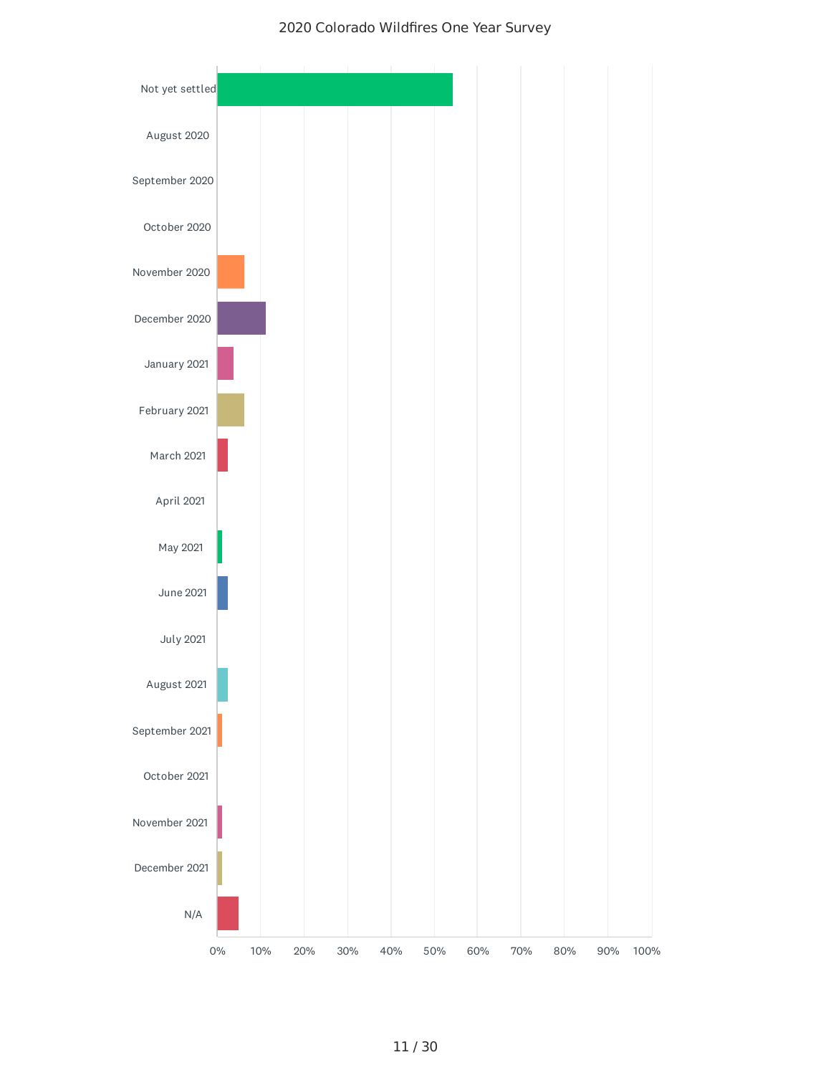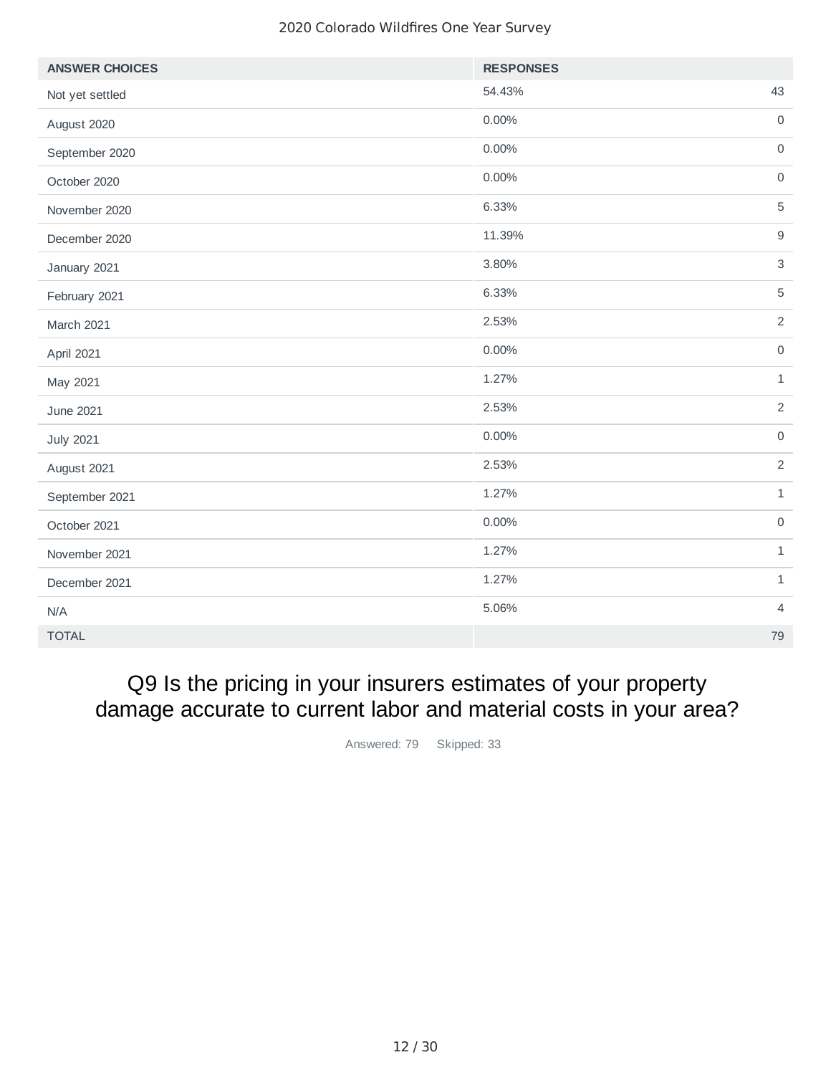| <b>ANSWER CHOICES</b> | <b>RESPONSES</b> |                     |
|-----------------------|------------------|---------------------|
| Not yet settled       | 54.43%           | 43                  |
| August 2020           | $0.00\%$         | $\mathsf{O}$        |
| September 2020        | $0.00\%$         | $\mathsf{O}\xspace$ |
| October 2020          | $0.00\%$         | $\mathsf{O}\xspace$ |
| November 2020         | 6.33%            | $\overline{5}$      |
| December 2020         | 11.39%           | $\boldsymbol{9}$    |
| January 2021          | 3.80%            | $\mathsf 3$         |
| February 2021         | 6.33%            | $\overline{5}$      |
| <b>March 2021</b>     | 2.53%            | $\sqrt{2}$          |
| April 2021            | $0.00\%$         | $\mathsf{O}\xspace$ |
| May 2021              | 1.27%            | $\mathbf 1$         |
| June 2021             | 2.53%            | $\overline{2}$      |
| <b>July 2021</b>      | $0.00\%$         | $\mathsf{O}$        |
| August 2021           | 2.53%            | $\overline{2}$      |
| September 2021        | 1.27%            | $\mathbf{1}$        |
| October 2021          | $0.00\%$         | $\mathsf O$         |
| November 2021         | 1.27%            | $\mathbf 1$         |
| December 2021         | 1.27%            | $\mathbf{1}$        |
| N/A                   | 5.06%            | $\overline{4}$      |
| <b>TOTAL</b>          |                  | 79                  |

### Q9 Is the pricing in your insurers estimates of your property damage accurate to current labor and material costs in your area?

Answered: 79 Skipped: 33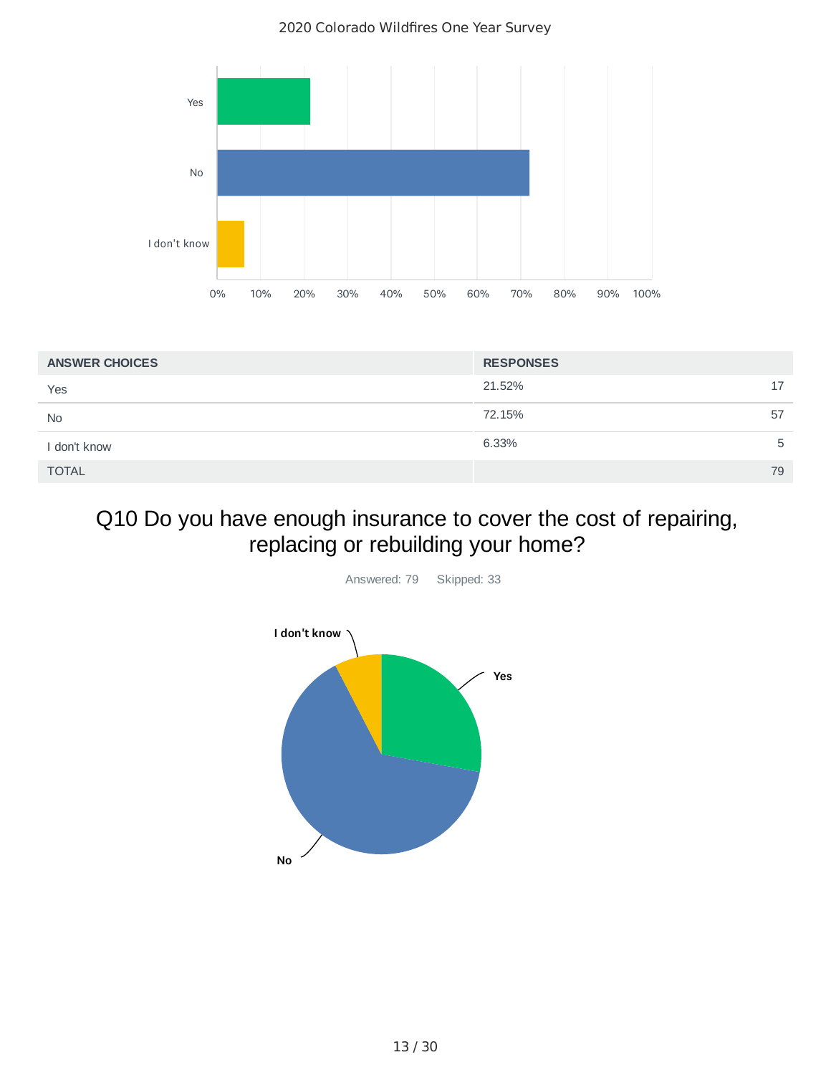2020 Colorado Wildfires One Year Survey



| <b>ANSWER CHOICES</b> | <b>RESPONSES</b> |    |
|-----------------------|------------------|----|
| Yes                   | 21.52%           | 17 |
| <b>No</b>             | 72.15%           | 57 |
| I don't know          | 6.33%            | 5  |
| <b>TOTAL</b>          |                  | 79 |

## Q10 Do you have enough insurance to cover the cost of repairing, replacing or rebuilding your home?

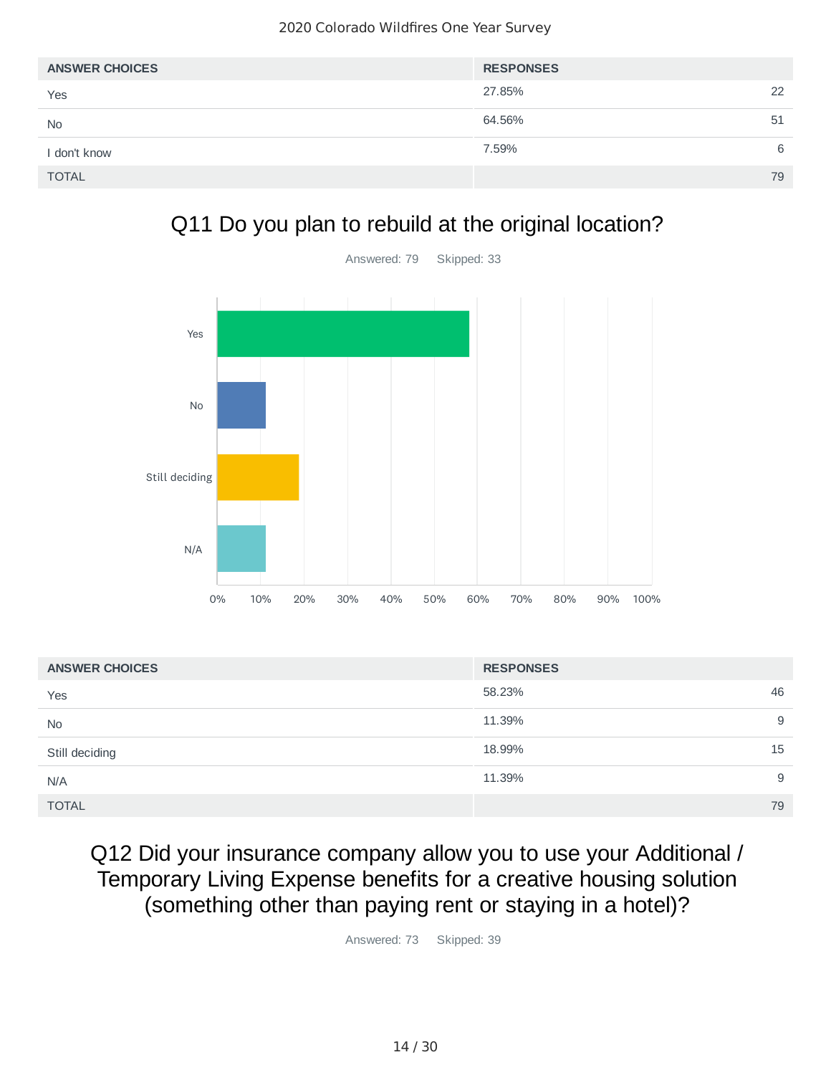| <b>ANSWER CHOICES</b> | <b>RESPONSES</b> |    |
|-----------------------|------------------|----|
| Yes                   | 27.85%           | 22 |
| <b>No</b>             | 64.56%           | 51 |
| I don't know          | 7.59%            | 6  |
| <b>TOTAL</b>          |                  | 79 |

## Q11 Do you plan to rebuild at the original location?



| <b>ANSWER CHOICES</b> | <b>RESPONSES</b> |    |
|-----------------------|------------------|----|
| Yes                   | 58.23%           | 46 |
| <b>No</b>             | 11.39%           | 9  |
| Still deciding        | 18.99%           | 15 |
| N/A                   | 11.39%           | 9  |
| <b>TOTAL</b>          |                  | 79 |

## Q12 Did your insurance company allow you to use your Additional / Temporary Living Expense benefits for a creative housing solution (something other than paying rent or staying in a hotel)?

Answered: 73 Skipped: 39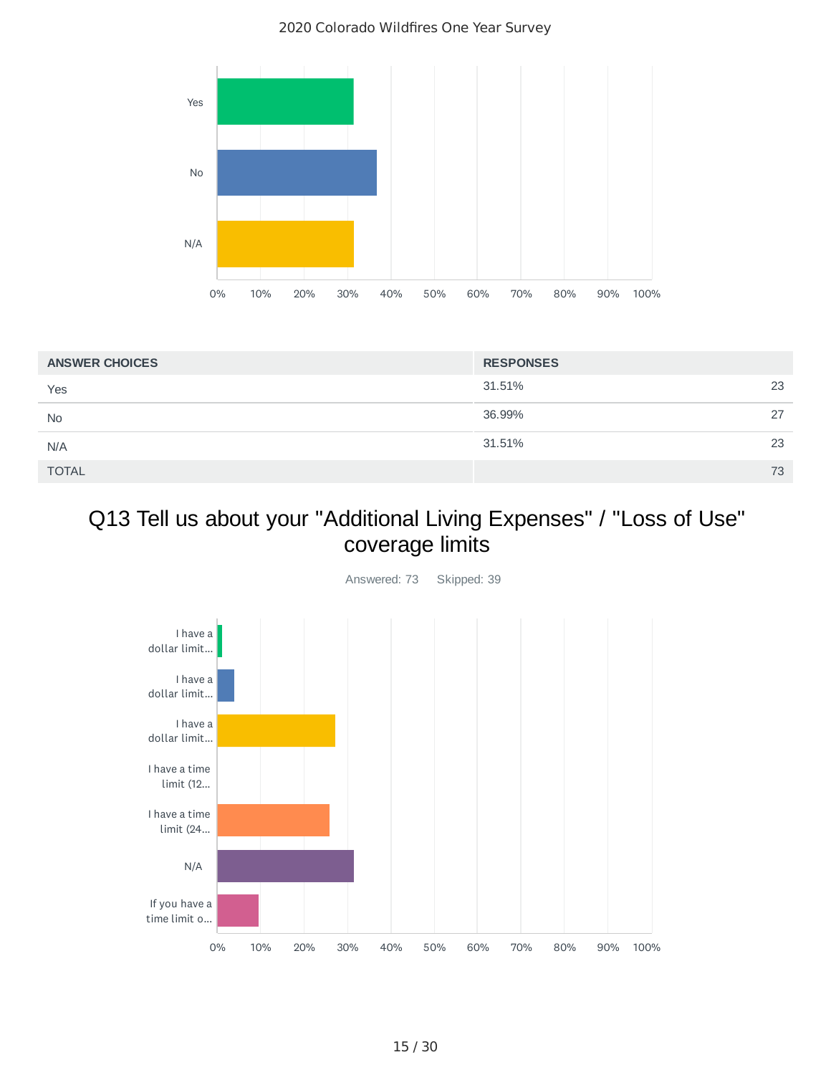

| <b>ANSWER CHOICES</b> | <b>RESPONSES</b> |    |
|-----------------------|------------------|----|
| Yes                   | 31.51%           | 23 |
| <b>No</b>             | 36.99%           | 27 |
| N/A                   | 31.51%           | 23 |
| <b>TOTAL</b>          |                  | 73 |

## Q13 Tell us about your "Additional Living Expenses" / "Loss of Use" coverage limits

Answered: 73 Skipped: 39

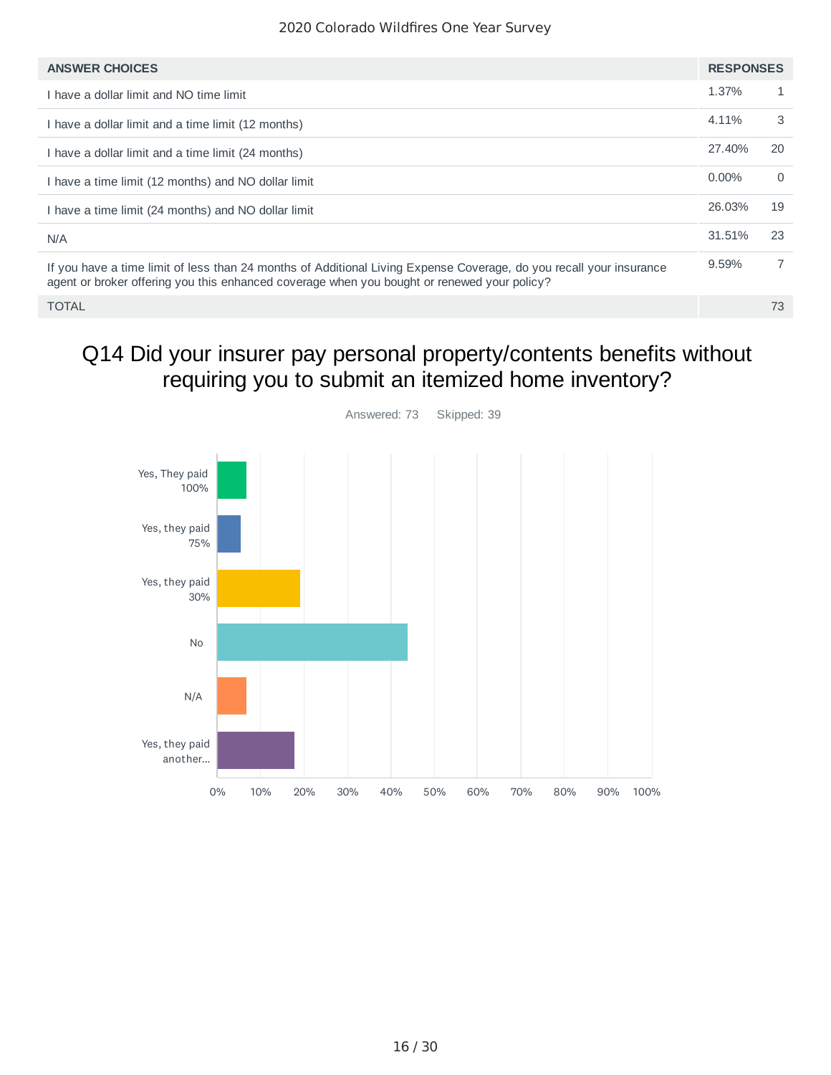| <b>ANSWER CHOICES</b>                                                                                                                                                                                              | <b>RESPONSES</b> |                |
|--------------------------------------------------------------------------------------------------------------------------------------------------------------------------------------------------------------------|------------------|----------------|
| I have a dollar limit and NO time limit                                                                                                                                                                            | 1.37%            | $\mathbf{1}$   |
| I have a dollar limit and a time limit (12 months)                                                                                                                                                                 | 4.11%            | 3              |
| I have a dollar limit and a time limit (24 months)                                                                                                                                                                 | 27.40%           | 20             |
| I have a time limit (12 months) and NO dollar limit                                                                                                                                                                | $0.00\%$         | $\Omega$       |
| I have a time limit (24 months) and NO dollar limit                                                                                                                                                                | 26.03%           | 19             |
| N/A                                                                                                                                                                                                                | 31.51%           | 23             |
| If you have a time limit of less than 24 months of Additional Living Expense Coverage, do you recall your insurance<br>agent or broker offering you this enhanced coverage when you bought or renewed your policy? | 9.59%            | $\overline{7}$ |
| <b>TOTAL</b>                                                                                                                                                                                                       |                  | 73             |

## Q14 Did your insurer pay personal property/contents benefits without requiring you to submit an itemized home inventory?

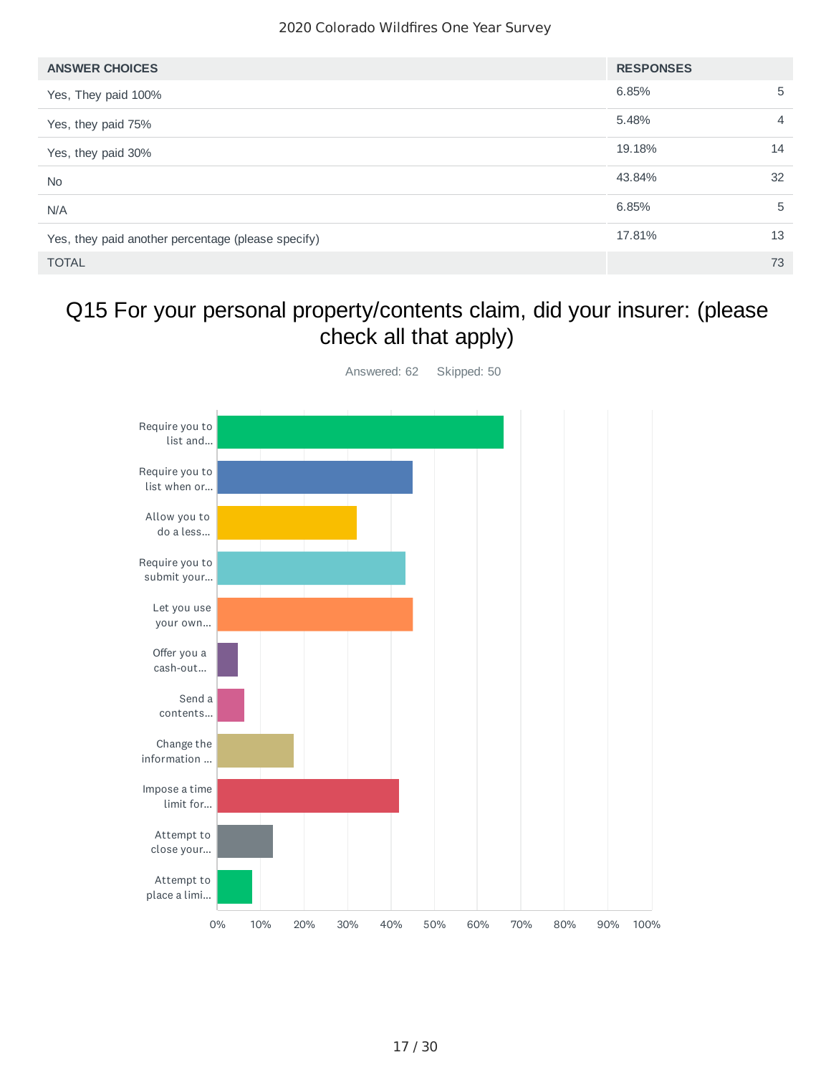| <b>ANSWER CHOICES</b>                              | <b>RESPONSES</b> |                |
|----------------------------------------------------|------------------|----------------|
| Yes, They paid 100%                                | 6.85%            | 5              |
| Yes, they paid 75%                                 | 5.48%            | $\overline{4}$ |
| Yes, they paid 30%                                 | 19.18%           | 14             |
| <b>No</b>                                          | 43.84%           | 32             |
| N/A                                                | 6.85%            | 5              |
| Yes, they paid another percentage (please specify) | 17.81%           | 13             |
| <b>TOTAL</b>                                       |                  | 73             |

### Q15 For your personal property/contents claim, did your insurer: (please check all that apply)

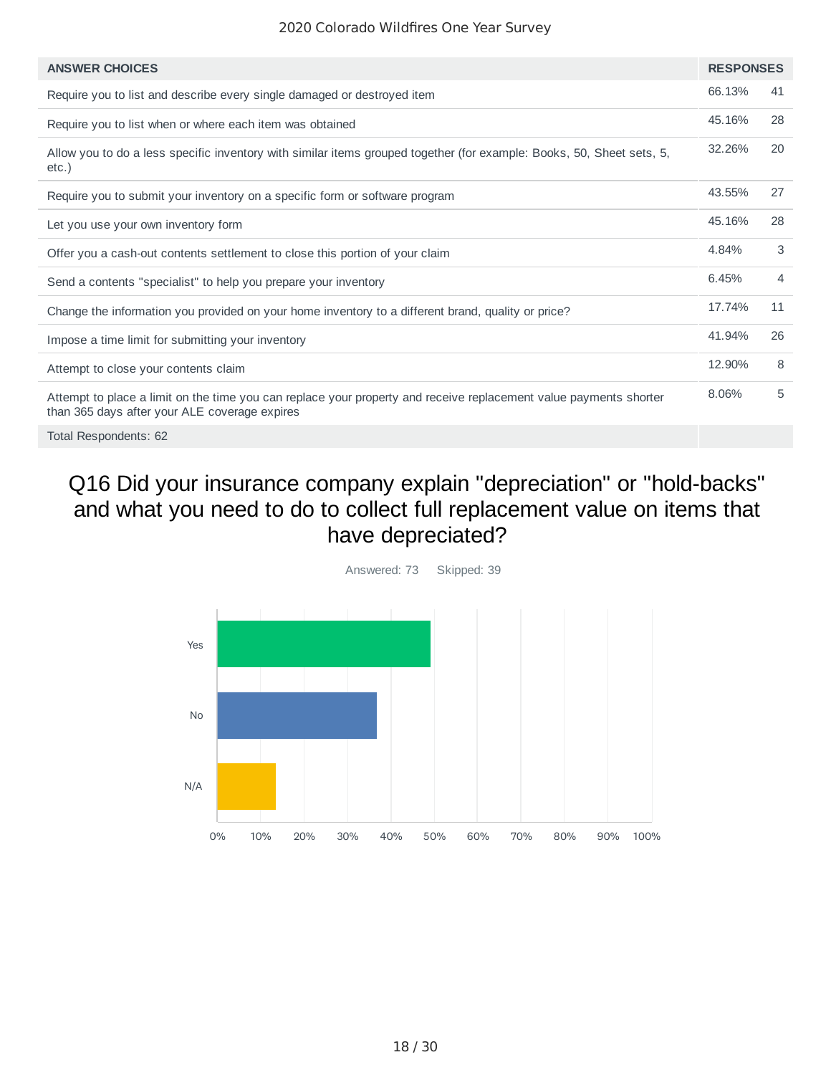| <b>ANSWER CHOICES</b>                                                                                                                                              | <b>RESPONSES</b> |    |
|--------------------------------------------------------------------------------------------------------------------------------------------------------------------|------------------|----|
| Require you to list and describe every single damaged or destroyed item                                                                                            | 66.13%           | 41 |
| Require you to list when or where each item was obtained                                                                                                           | 45.16%           | 28 |
| Allow you to do a less specific inventory with similar items grouped together (for example: Books, 50, Sheet sets, 5,<br>etc.)                                     | 32.26%           | 20 |
| Require you to submit your inventory on a specific form or software program                                                                                        | 43.55%           | 27 |
| Let you use your own inventory form                                                                                                                                | 45.16%           | 28 |
| Offer you a cash-out contents settlement to close this portion of your claim                                                                                       | 4.84%            | 3  |
| Send a contents "specialist" to help you prepare your inventory                                                                                                    | 6.45%            | 4  |
| Change the information you provided on your home inventory to a different brand, quality or price?                                                                 | 17.74%           | 11 |
| Impose a time limit for submitting your inventory                                                                                                                  | 41.94%           | 26 |
| Attempt to close your contents claim                                                                                                                               | 12.90%           | 8  |
| Attempt to place a limit on the time you can replace your property and receive replacement value payments shorter<br>than 365 days after your ALE coverage expires | 8.06%            | 5  |
|                                                                                                                                                                    |                  |    |

Total Respondents: 62

### Q16 Did your insurance company explain "depreciation" or "hold-backs" and what you need to do to collect full replacement value on items that have depreciated?

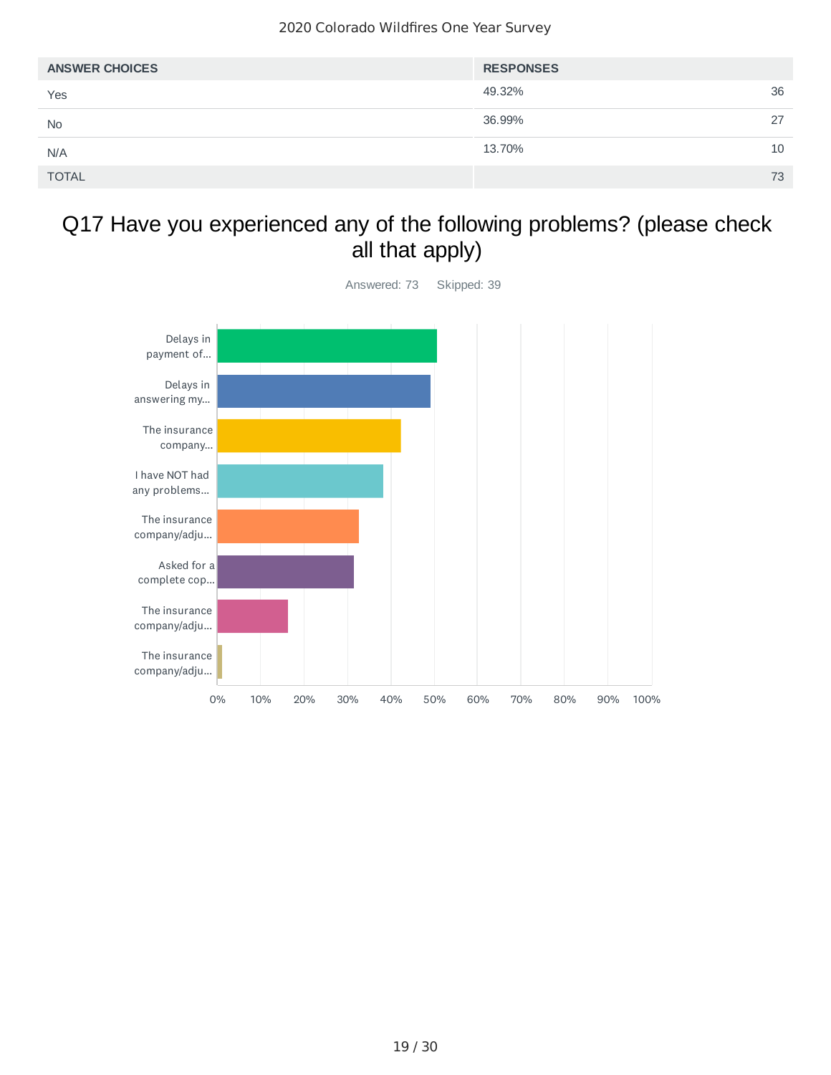| <b>ANSWER CHOICES</b> | <b>RESPONSES</b> |    |
|-----------------------|------------------|----|
| Yes                   | 49.32%           | 36 |
| <b>No</b>             | 36.99%           | 27 |
| N/A                   | 13.70%           | 10 |
| <b>TOTAL</b>          |                  | 73 |

#### Q17 Have you experienced any of the following problems? (please check all that apply)



19 / 30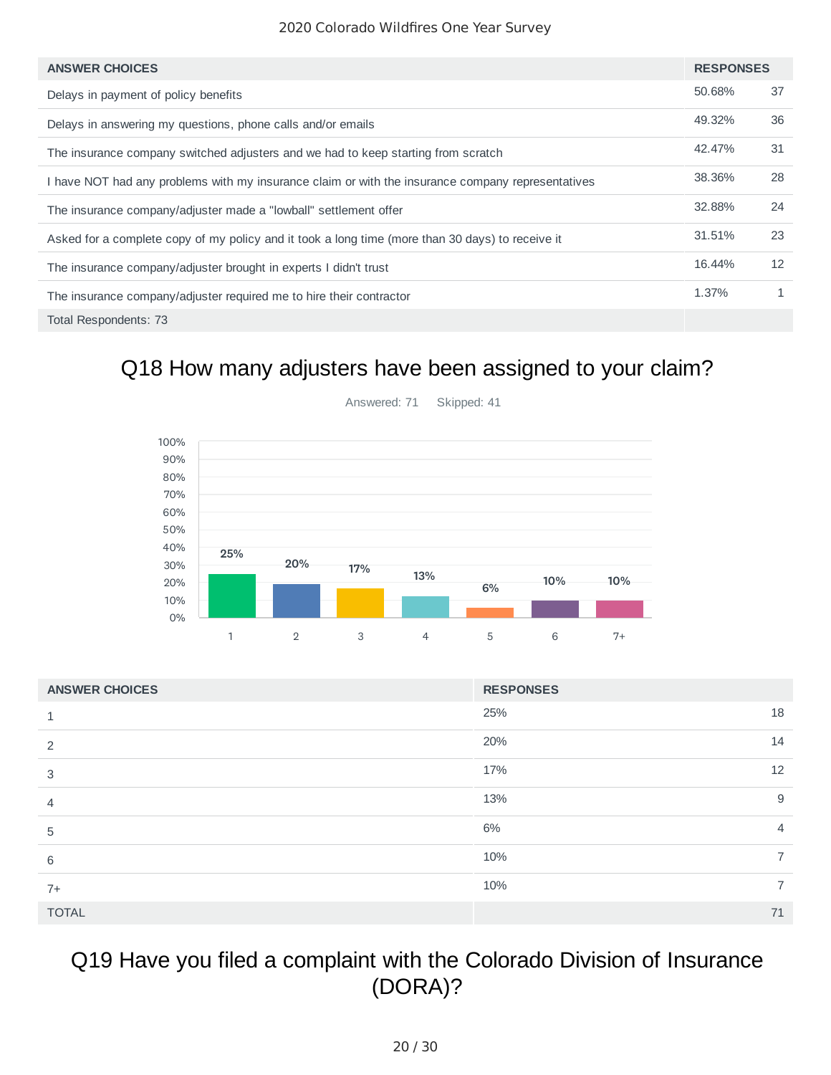| <b>ANSWER CHOICES</b>                                                                             | <b>RESPONSES</b> |    |
|---------------------------------------------------------------------------------------------------|------------------|----|
| Delays in payment of policy benefits                                                              | 50.68%           | 37 |
| Delays in answering my questions, phone calls and/or emails                                       | 49.32%           | 36 |
| The insurance company switched adjusters and we had to keep starting from scratch                 | 42.47%           | 31 |
| I have NOT had any problems with my insurance claim or with the insurance company representatives | 38.36%           | 28 |
| The insurance company/adjuster made a "lowball" settlement offer                                  | 32.88%           | 24 |
| Asked for a complete copy of my policy and it took a long time (more than 30 days) to receive it  | 31.51%           | 23 |
| The insurance company/adjuster brought in experts I didn't trust                                  | 16.44%           | 12 |
| The insurance company/adjuster required me to hire their contractor                               | 1.37%            | 1  |
| Total Respondents: 73                                                                             |                  |    |

### Q18 How many adjusters have been assigned to your claim?

![](_page_19_Figure_3.jpeg)

Answered: 71 Skipped: 41

| <b>ANSWER CHOICES</b> | <b>RESPONSES</b>      |
|-----------------------|-----------------------|
|                       | 18<br>25%             |
| 2                     | 20%<br>14             |
| 3                     | 12<br>17%             |
| $\overline{4}$        | 13%<br>9              |
| 5                     | 6%<br>$\overline{4}$  |
| 6                     | 10%<br>$\overline{7}$ |
| $7+$                  | 10%<br>$\overline{7}$ |
| <b>TOTAL</b>          | 71                    |

## Q19 Have you filed a complaint with the Colorado Division of Insurance (DORA)?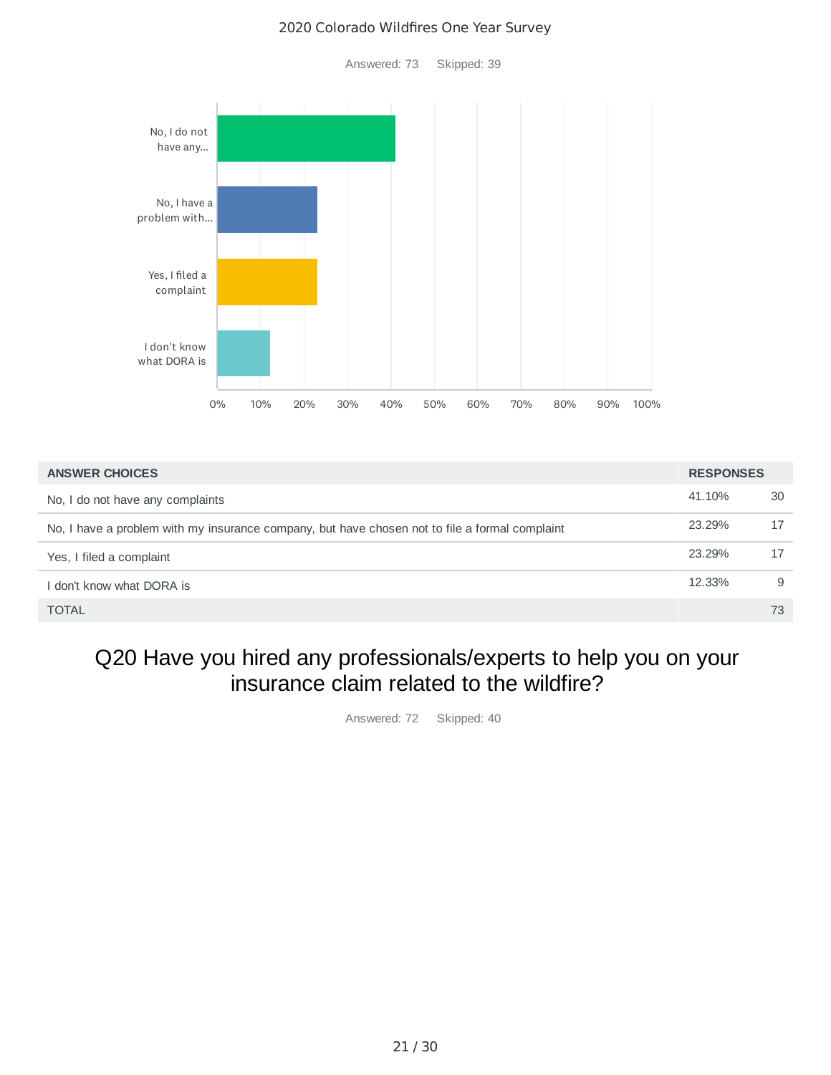Answered: 73 Skipped: 39

![](_page_20_Figure_2.jpeg)

| <b>ANSWER CHOICES</b>                                                                          | <b>RESPONSES</b> |    |
|------------------------------------------------------------------------------------------------|------------------|----|
| No, I do not have any complaints                                                               | 41.10%           | 30 |
| No, I have a problem with my insurance company, but have chosen not to file a formal complaint | 23.29%           | 17 |
| Yes, I filed a complaint                                                                       | 23.29%           | 17 |
| I don't know what DORA is                                                                      | 12.33%           | 9  |
| <b>TOTAL</b>                                                                                   |                  | 73 |

#### Q20 Have you hired any professionals/experts to help you on your insurance claim related to the wildfire?

Answered: 72 Skipped: 40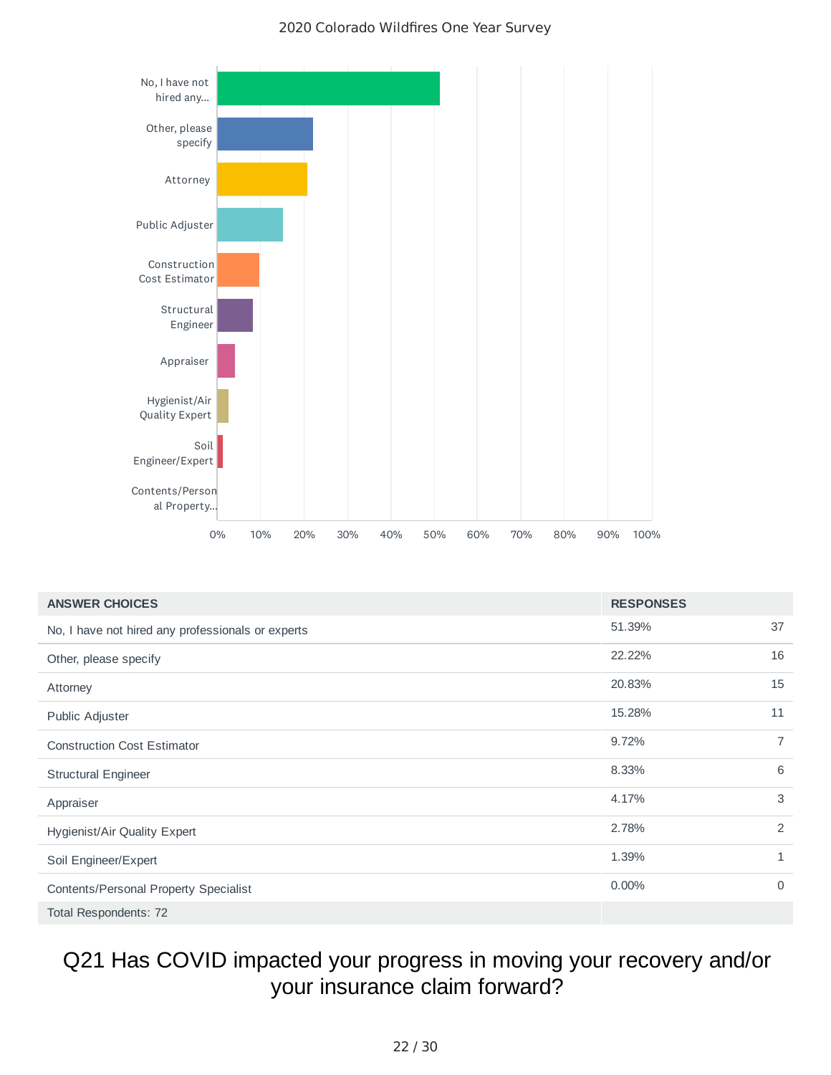![](_page_21_Figure_1.jpeg)

| <b>ANSWER CHOICES</b>                             | <b>RESPONSES</b> |             |
|---------------------------------------------------|------------------|-------------|
| No, I have not hired any professionals or experts | 51.39%           | 37          |
| Other, please specify                             | 22.22%           | 16          |
| Attorney                                          | 20.83%           | 15          |
| Public Adjuster                                   | 15.28%           | 11          |
| <b>Construction Cost Estimator</b>                | 9.72%            | 7           |
| <b>Structural Engineer</b>                        | 8.33%            | 6           |
| Appraiser                                         | 4.17%            | 3           |
| Hygienist/Air Quality Expert                      | 2.78%            | 2           |
| Soil Engineer/Expert                              | 1.39%            | 1           |
| Contents/Personal Property Specialist             | 0.00%            | $\mathbf 0$ |
| Total Respondents: 72                             |                  |             |

# Q21 Has COVID impacted your progress in moving your recovery and/or your insurance claim forward?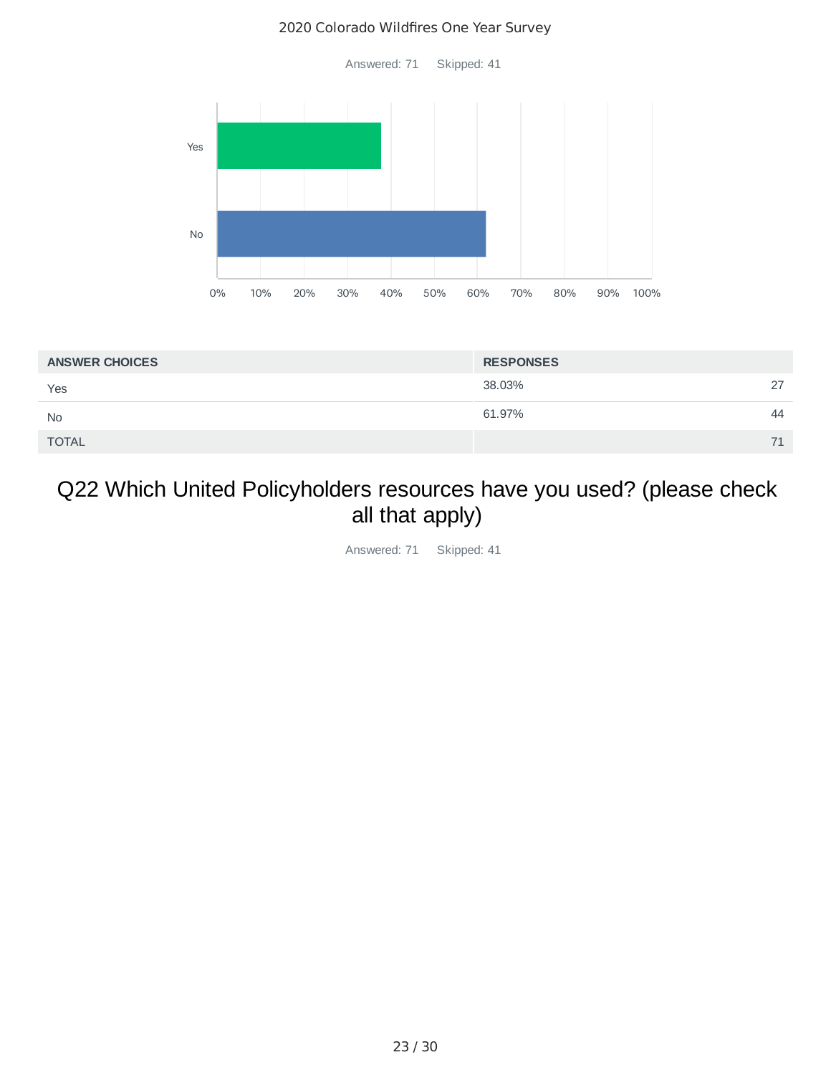Answered: 71 Skipped: 41

![](_page_22_Figure_2.jpeg)

| <b>ANSWER CHOICES</b> | <b>RESPONSES</b> |    |
|-----------------------|------------------|----|
| Yes                   | 38.03%           | 27 |
| <b>No</b>             | 61.97%           | 44 |
| <b>TOTAL</b>          |                  | 71 |

## Q22 Which United Policyholders resources have you used? (please check all that apply)

Answered: 71 Skipped: 41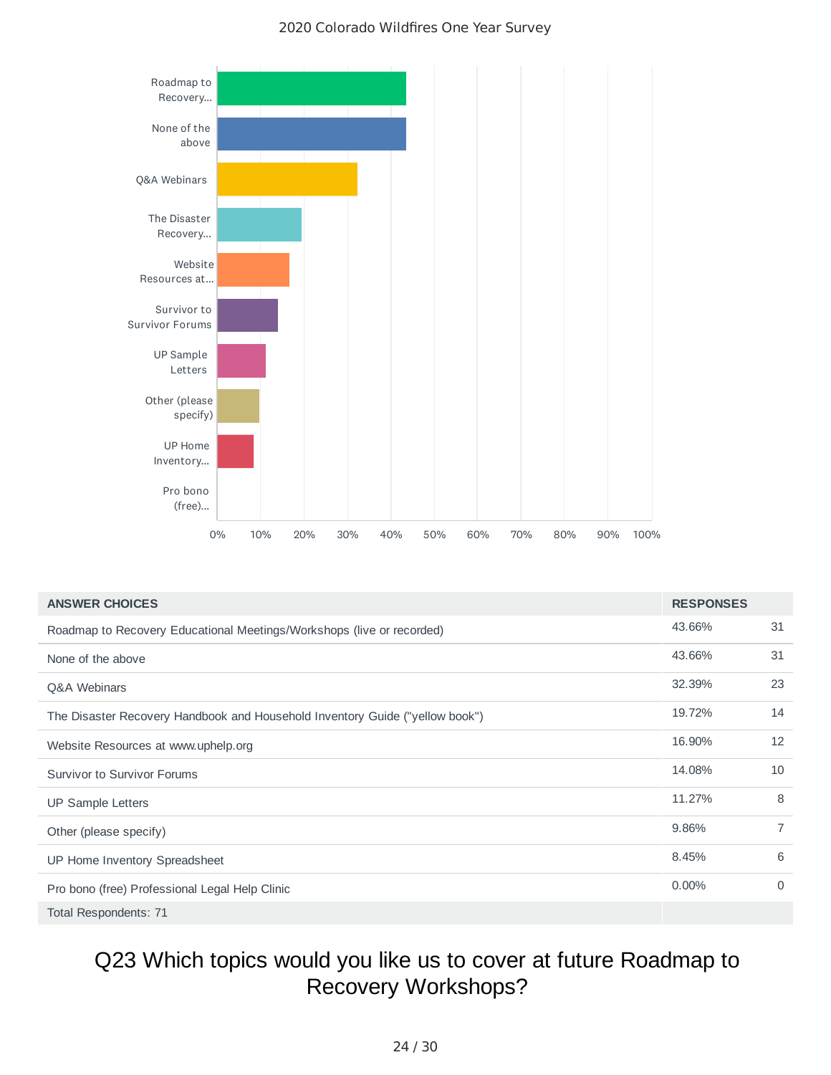![](_page_23_Figure_1.jpeg)

| <b>ANSWER CHOICES</b>                                                        | <b>RESPONSES</b> |                |
|------------------------------------------------------------------------------|------------------|----------------|
| Roadmap to Recovery Educational Meetings/Workshops (live or recorded)        | 43.66%           | 31             |
| None of the above                                                            | 43.66%           | 31             |
| <b>O&amp;A Webinars</b>                                                      | 32.39%           | 23             |
| The Disaster Recovery Handbook and Household Inventory Guide ("yellow book") | 19.72%           | 14             |
| Website Resources at www.uphelp.org                                          | 16.90%           | 12             |
| Survivor to Survivor Forums                                                  | 14.08%           | 10             |
| UP Sample Letters                                                            | 11.27%           | 8              |
| Other (please specify)                                                       | 9.86%            | $\overline{7}$ |
| UP Home Inventory Spreadsheet                                                | 8.45%            | 6              |
| Pro bono (free) Professional Legal Help Clinic                               | $0.00\%$         | $\Omega$       |
| Total Respondents: 71                                                        |                  |                |

### Q23 Which topics would you like us to cover at future Roadmap to Recovery Workshops?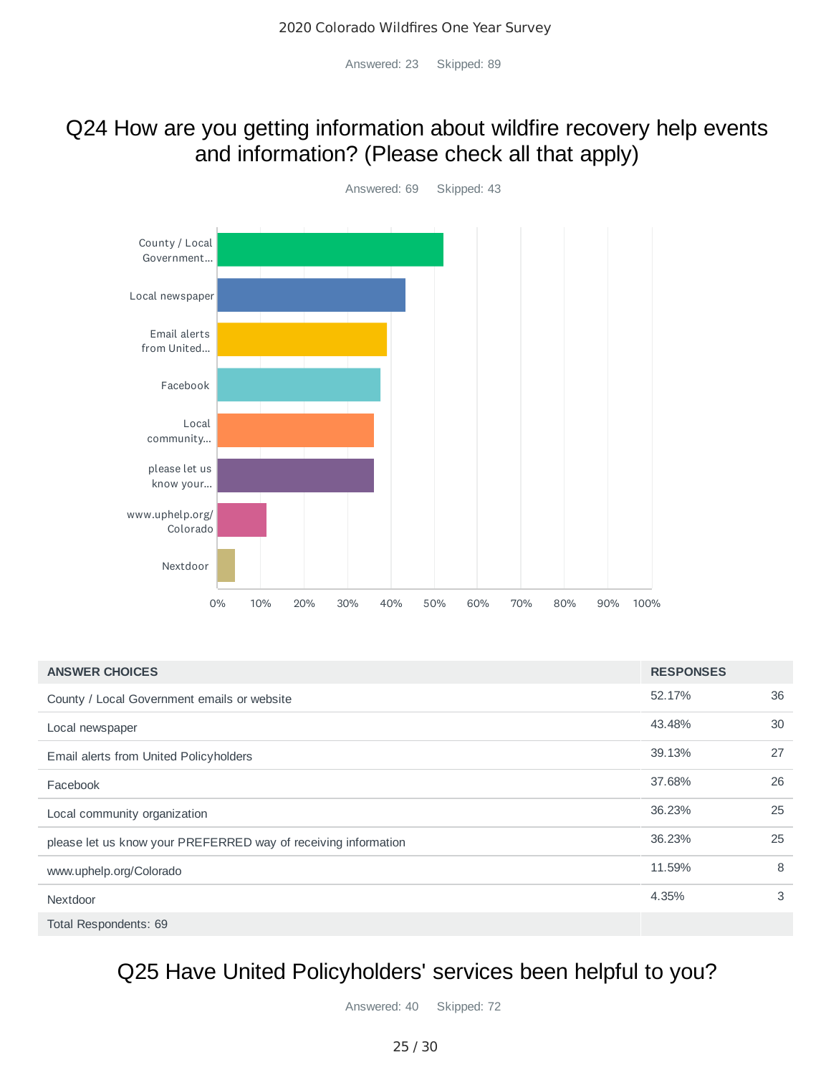Answered: 23 Skipped: 89

### Q24 How are you getting information about wildfire recovery help events and information? (Please check all that apply)

![](_page_24_Figure_3.jpeg)

| <b>ANSWER CHOICES</b>                                          | <b>RESPONSES</b> |    |
|----------------------------------------------------------------|------------------|----|
| County / Local Government emails or website                    | 52.17%           | 36 |
| Local newspaper                                                | 43.48%           | 30 |
| Email alerts from United Policyholders                         | 39.13%           | 27 |
| Facebook                                                       | 37.68%           | 26 |
| Local community organization                                   | 36.23%           | 25 |
| please let us know your PREFERRED way of receiving information | 36.23%           | 25 |
| www.uphelp.org/Colorado                                        | 11.59%           | 8  |
| Nextdoor                                                       | 4.35%            | 3  |
| Total Respondents: 69                                          |                  |    |

### Q25 Have United Policyholders' services been helpful to you?

Answered: 40 Skipped: 72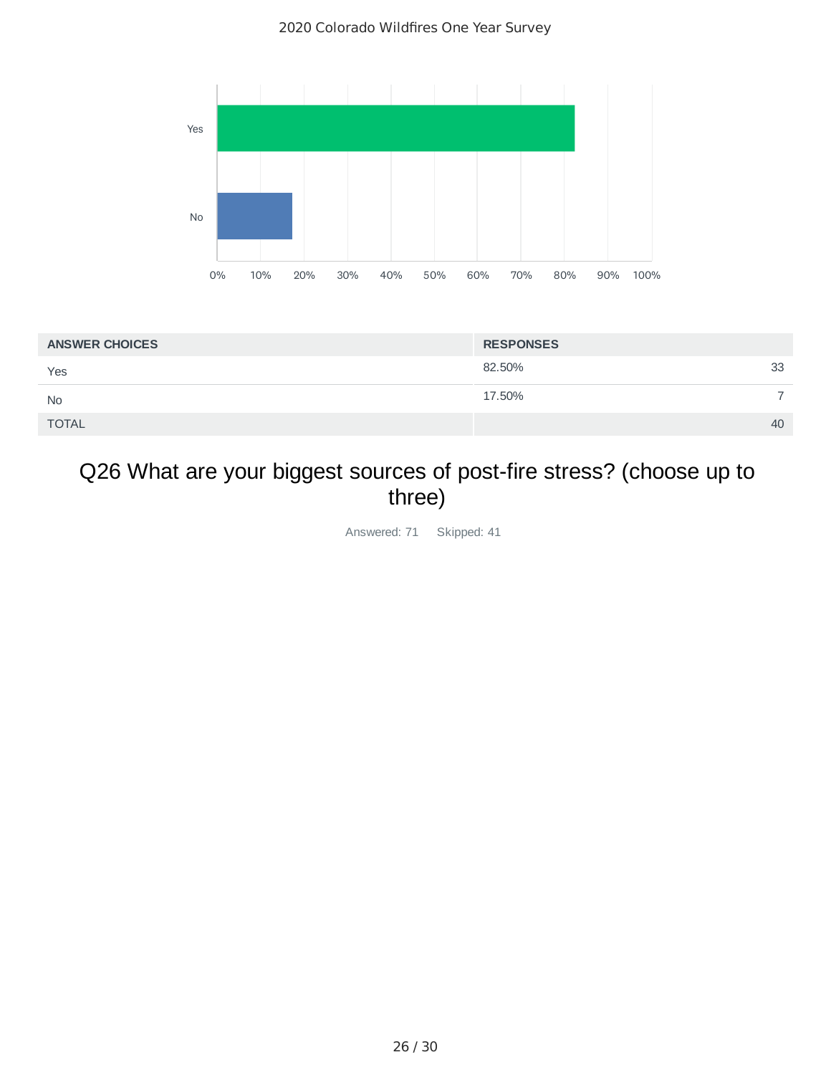![](_page_25_Figure_1.jpeg)

| <b>ANSWER CHOICES</b> | <b>RESPONSES</b> |    |
|-----------------------|------------------|----|
| Yes                   | 82.50%           | 33 |
| <b>No</b>             | 17.50%           |    |
| <b>TOTAL</b>          |                  | 40 |

## Q26 What are your biggest sources of post-fire stress? (choose up to three)

Answered: 71 Skipped: 41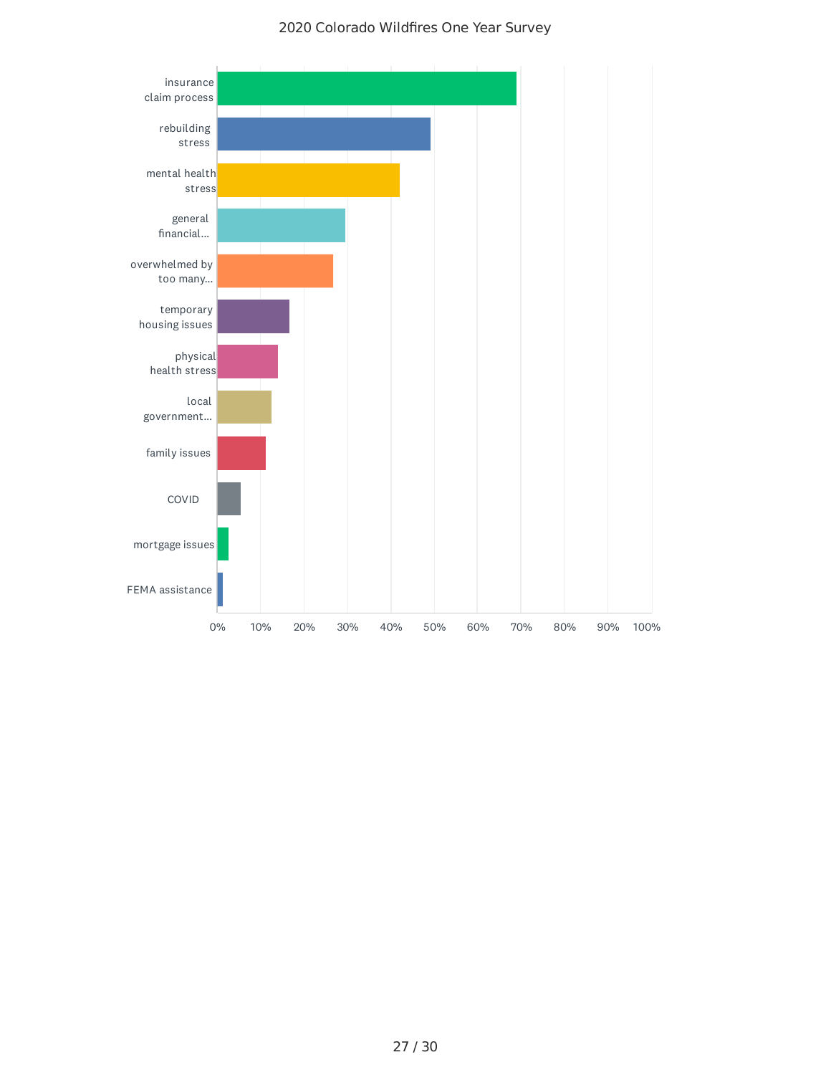![](_page_26_Figure_1.jpeg)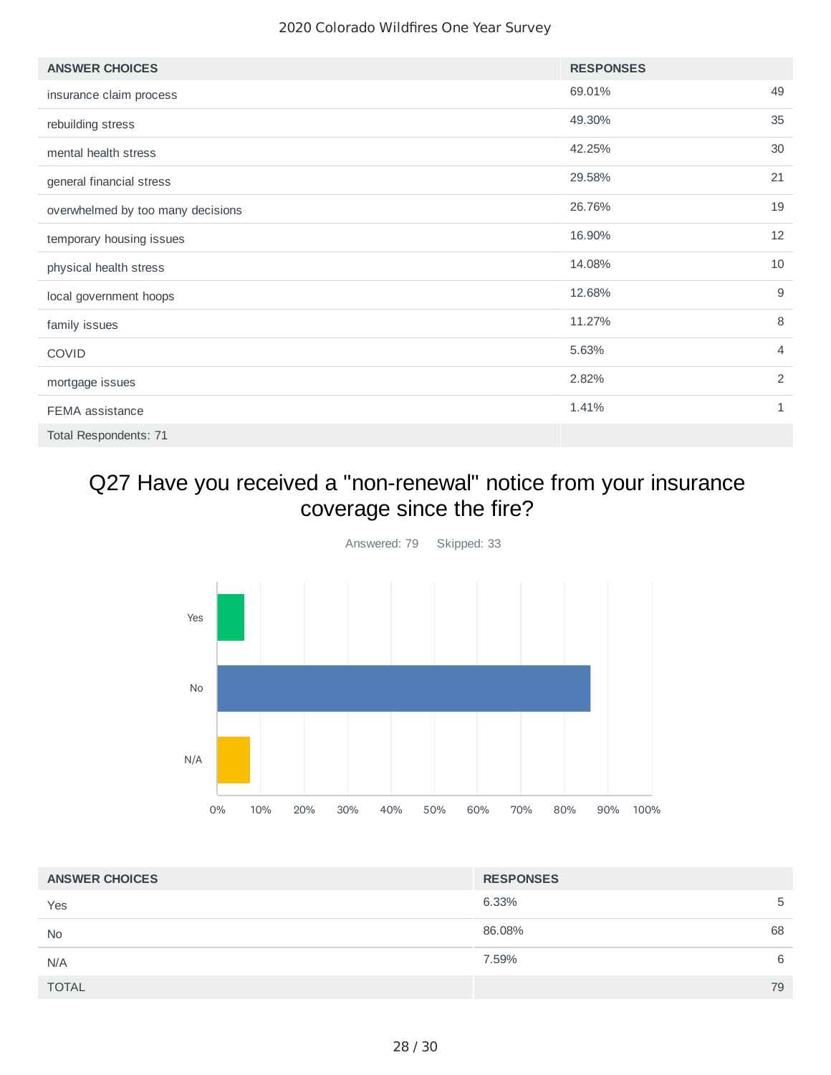| <b>ANSWER CHOICES</b>             | <b>RESPONSES</b> |                |
|-----------------------------------|------------------|----------------|
| insurance claim process           | 69.01%           | 49             |
| rebuilding stress                 | 49.30%           | 35             |
| mental health stress              | 42.25%           | 30             |
| general financial stress          | 29.58%           | 21             |
| overwhelmed by too many decisions | 26.76%           | 19             |
| temporary housing issues          | 16.90%           | 12             |
| physical health stress            | 14.08%           | 10             |
| local government hoops            | 12.68%           | 9              |
| family issues                     | 11.27%           | 8              |
| <b>COVID</b>                      | 5.63%            | $\overline{4}$ |
| mortgage issues                   | 2.82%            | 2              |
| FEMA assistance                   | 1.41%            | 1              |
| Total Respondents: 71             |                  |                |

### Q27 Have you received a "non-renewal" notice from your insurance coverage since the fire?

![](_page_27_Figure_3.jpeg)

| <b>ANSWER CHOICES</b> | <b>RESPONSES</b> |
|-----------------------|------------------|
| Yes                   | 6.33%<br>5       |
| <b>No</b>             | 68<br>86.08%     |
| N/A                   | 7.59%<br>6       |
| <b>TOTAL</b>          | 79               |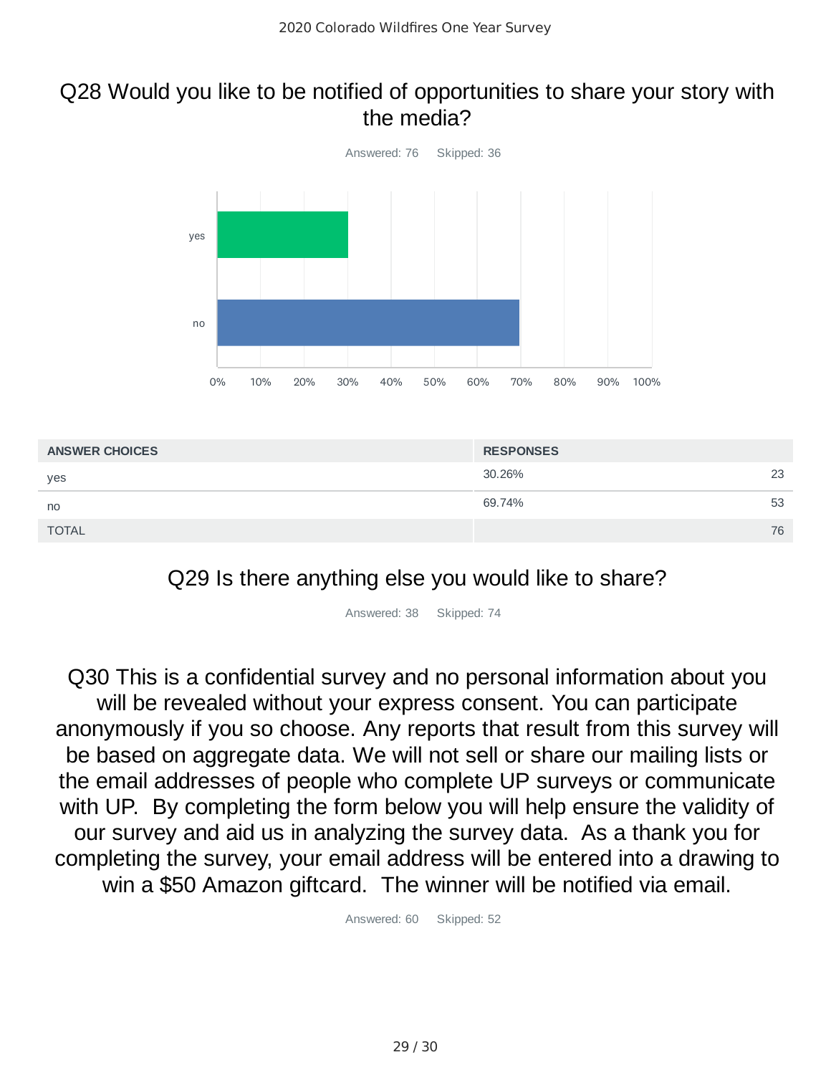#### Q28 Would you like to be notified of opportunities to share your story with the media?

![](_page_28_Figure_2.jpeg)

![](_page_28_Figure_3.jpeg)

Answered: 38 Skipped: 74

Q30 This is a confidential survey and no personal information about you will be revealed without your express consent. You can participate anonymously if you so choose. Any reports that result from this survey will be based on aggregate data. We will not sell or share our mailing lists or the email addresses of people who complete UP surveys or communicate with UP. By completing the form below you will help ensure the validity of our survey and aid us in analyzing the survey data. As a thank you for completing the survey, your email address will be entered into a drawing to win a \$50 Amazon giftcard. The winner will be notified via email.

Answered: 60 Skipped: 52